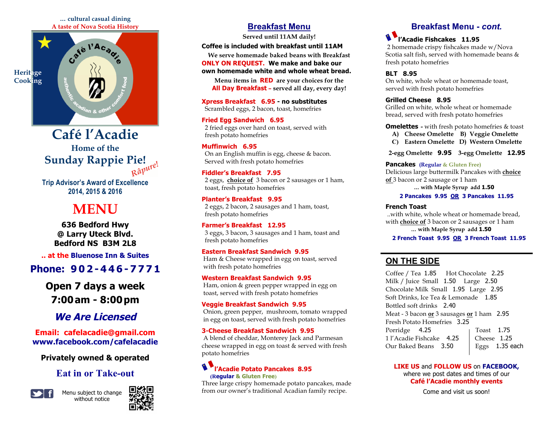#### **… cultural casual dining A taste of Nova Scotia History**



Râpure! **Café l'Acadie Home of the Sunday Rappie Pie!**

**Trip Advisor's Award of Excellence 2014, 2015 & 2016**

## **MENU**

**636 Bedford Hwy @ Larry Uteck Blvd. Bedford NS B3M 2L8**

**.. at the Bluenose Inn & Suites**

## **Phone: 9 0 2 - 4 4 6 - 7 7 7 1**

**Open 7 days a week 7:00am - 8:00pm**

## **We Are Licensed**

**Email: cafelacadie@gmail.com www.facebook.com/cafelacadie**

**Privately owned & operated**

## **Eat in or Take-out**



Menu subject to change without notice



## **Breakfast Menu**

**Served until 11AM daily!** 

#### **Coffee is included with breakfast until 11AM**

**We serve homemade baked beans with Breakfast ONLY ON REQUEST. We make and bake our own homemade white and whole wheat bread.**

**Menu items in RED are your choices for the All Day Breakfast – served all day, every day!**

#### **Xpress Breakfast 6.95 - no substitutes** Scrambled eggs, 2 bacon, toast, homefries

**Fried Egg Sandwich 6.95** 2 fried eggs over hard on toast, served with fresh potato homefries

#### **Muffinwich 6.95**

 On an English muffin is egg, cheese & bacon. Served with fresh potato homefries

#### **Fiddler's Breakfast 7.95**

 2 eggs, **choice of** 3 bacon or 2 sausages or 1 ham, toast, fresh potato homefries

**Planter's Breakfast 9.95**  2 eggs, 2 bacon, 2 sausages and 1 ham, toast, fresh potato homefries

**Farmer's Breakfast 12.95** 3 eggs, 3 bacon, 3 sausages and 1 ham, toast and fresh potato homefries

#### **Eastern Breakfast Sandwich 9.95**

 Ham & Cheese wrapped in egg on toast, served with fresh potato homefries

#### **Western Breakfast Sandwich 9.95**

 Ham, onion & green pepper wrapped in egg on toast, served with fresh potato homefries

#### **Veggie Breakfast Sandwich 9.95**

 Onion, green pepper, mushroom, tomato wrapped in egg on toast, served with fresh potato homefries

#### **3-Cheese Breakfast Sandwich 9.95**

 A blend of cheddar, Monterey Jack and Parmesan cheese wrapped in egg on toast & served with fresh potato homefries

#### **l'Acadie Potato Pancakes 8.95 (Regular & Gluten Free)**

Three large crispy homemade potato pancakes, made from our owner's traditional Acadian family recipe.

## **Breakfast Menu -** *cont.*

## **l'Acadie Fishcakes 11.95**

 2 homemade crispy fishcakes made w/Nova Scotia salt fish, served with homemade beans & fresh potato homefries

#### **BLT 8.95**

On white, whole wheat or homemade toast, served with fresh potato homefries

**Grilled Cheese 8.95** 

Grilled on white, whole wheat or homemade bread, served with fresh potato homefries

**Omelettes -** with fresh potato homefries & toast

- **A) Cheese Omelette B) Veggie Omelette**
- **C) Eastern Omelette D) Western Omelette**

 **2-egg Omelette 9.95 3-egg Omelette 12.95**

**Pancakes (Regular & Gluten Free)**

Delicious large buttermilk Pancakes with **choice of** 3 bacon or 2 sausage or 1 ham

 **… with Maple Syrup add 1.50** 

#### **2 Pancakes 9.95 OR 3 Pancakes 11.95**

#### **French Toast**

 ..with white, whole wheat or homemade bread, with **choice of** 3 bacon or 2 sausages or 1 ham **… with Maple Syrup add 1.50** 

#### **2 French Toast 9.95 OR 3 French Toast 11.95**

### **ON THE SIDE**

Coffee / Tea 1.85 Hot Chocolate 2.25 Milk / Juice Small 1.50 Large 2.50 Chocolate Milk Small 1.95 Large 2.95 Soft Drinks, Ice Tea & Lemonade 1.85 Bottled soft drinks 2.40 Meat - 3 bacon **or** 3 sausages **or** 1 ham 2.95 Fresh Potato Homefries 3.25 Porridge 4.25 | Toast 1.75 1 l'Acadie Fishcake 4.25 | Cheese 1.25 Our Baked Beans 3.50 Eggs 1.35 each

#### **LIKE US** and **FOLLOW US** on **FACEBOOK,** where we post dates and times of our **Café l'Acadie monthly events**

Come and visit us soon!